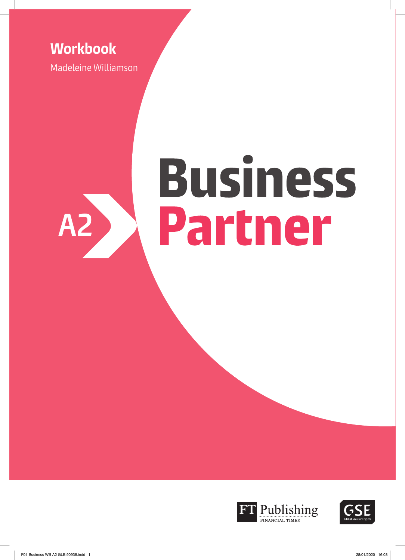## **Workbook**

Madeleine Williamson

# **Business** Partner **A2**



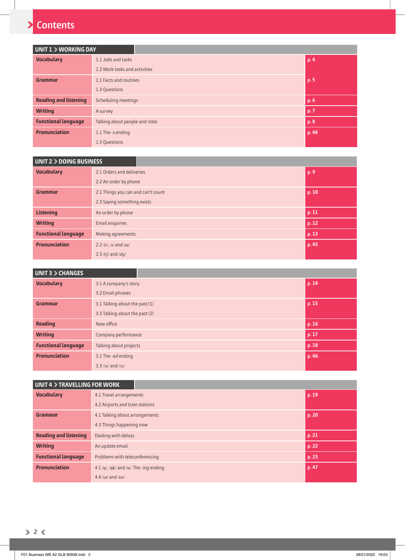## **Contents**

| UNIT 1 > WORKING DAY         |                                        |      |       |  |  |  |
|------------------------------|----------------------------------------|------|-------|--|--|--|
| <b>Vocabulary</b>            | 1.1 Jobs and tasks                     | p. 4 |       |  |  |  |
|                              | 1.2 Work tasks and activities          |      |       |  |  |  |
| Grammar                      | 1.1 Facts and routines                 |      | p. 5  |  |  |  |
|                              | 1.3 Questions                          |      |       |  |  |  |
| <b>Reading and listening</b> | p. 6<br>Scheduling meetings            |      |       |  |  |  |
| <b>Writing</b>               | p.7<br>A survey                        |      |       |  |  |  |
| <b>Functional language</b>   | Talking about people and roles<br>p. 8 |      |       |  |  |  |
| <b>Pronunciation</b>         | 1.1 The -s ending                      |      | p. 44 |  |  |  |
|                              | 1.3 Questions                          |      |       |  |  |  |

| UNIT 2 > DOING BUSINESS    |                                             |  |       |  |
|----------------------------|---------------------------------------------|--|-------|--|
| <b>Vocabulary</b>          | 2.1 Orders and deliveries                   |  | p. 9  |  |
|                            | 2.2 An order by phone                       |  |       |  |
| Grammar                    | 2.1 Things you can and can't count<br>p. 10 |  |       |  |
|                            | 2.3 Saying something exists                 |  |       |  |
| <b>Listening</b>           | An order by phone<br>p. 11                  |  |       |  |
| <b>Writing</b>             | p. 12<br>Email enquiries                    |  |       |  |
| <b>Functional language</b> | p. 13<br>Making agreements                  |  |       |  |
| <b>Pronunciation</b>       | 2.2 /iː/, /i/ and /ai/                      |  | p. 45 |  |
|                            | 2.3 /t $\int$ and /d $\frac{1}{3}$ /        |  |       |  |

| <b>UNIT 3 &gt; CHANGES</b> |                                 |  |       |  |
|----------------------------|---------------------------------|--|-------|--|
| <b>Vocabulary</b>          | 3.1 A company's story           |  | p. 14 |  |
|                            | 3.2 Email phrases               |  |       |  |
| Grammar                    | 3.1 Talking about the past (1)  |  | p. 15 |  |
|                            | 3.3 Talking about the past (2)  |  |       |  |
| <b>Reading</b>             | New office                      |  | p. 16 |  |
| <b>Writing</b>             | Company performance             |  | p. 17 |  |
| <b>Functional language</b> | p. 18<br>Talking about projects |  |       |  |
| <b>Pronunciation</b>       | 3.1 The -ed ending              |  | p. 46 |  |
|                            | $3.3 / 31 / 31$ and $/21 / 31$  |  |       |  |

| <b>UNIT 4 &gt; TRAVELLING FOR WORK</b> |                                                            |       |  |  |
|----------------------------------------|------------------------------------------------------------|-------|--|--|
| <b>Vocabulary</b>                      | 4.1 Travel arrangements                                    | p. 19 |  |  |
|                                        | 4.2 Airports and train stations                            |       |  |  |
| Grammar                                | p. 20<br>4.1 Talking about arrangements                    |       |  |  |
|                                        | 4.3 Things happening now                                   |       |  |  |
| <b>Reading and listening</b>           | p. 21<br>Dealing with delays                               |       |  |  |
| <b>Writing</b>                         | p. 22<br>An update email                                   |       |  |  |
| <b>Functional language</b>             | p. 23<br>Problems with teleconferencing                    |       |  |  |
| <b>Pronunciation</b>                   | $4.1/\eta$ /, / $\eta$ k/ and / $\eta$ /. The -ing ending. | p. 47 |  |  |
|                                        | $4.4$ /ra/ and /ea/                                        |       |  |  |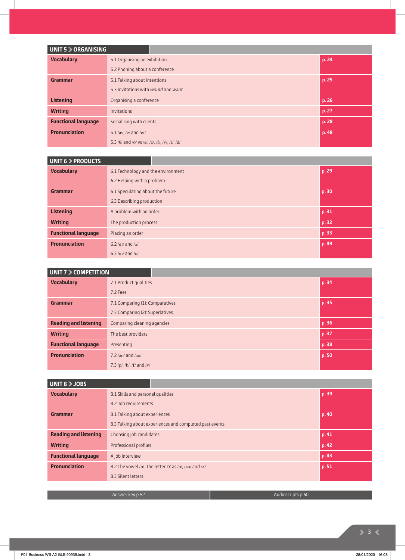| UNIT 5 > ORGANISING        |                                                                 |       |       |  |  |
|----------------------------|-----------------------------------------------------------------|-------|-------|--|--|
| <b>Vocabulary</b>          | 5.1 Organising an exhibition                                    |       | p.24  |  |  |
|                            | 5.2 Phoning about a conference                                  |       |       |  |  |
| Grammar                    | 5.1 Talking about intentions                                    |       | p. 25 |  |  |
|                            | 5.3 Invitations with <i>would</i> and <i>want</i>               |       |       |  |  |
| <b>Listening</b>           | p.26<br>Organising a conference                                 |       |       |  |  |
| <b>Writing</b>             | p. 27<br><b>Invitations</b>                                     |       |       |  |  |
| <b>Functional language</b> | Socialising with clients<br>p. 28                               |       |       |  |  |
| <b>Pronunciation</b>       | $5.1$ /æ/, /e/ and /eɪ/                                         | p. 48 |       |  |  |
|                            | 5.3/ $\theta$ / and / $\delta$ / vs/s/, /z/, /f/, /v/, /t/, /d/ |       |       |  |  |

| <b>UNIT 6 &gt; PRODUCTS</b> |                                           |       |       |
|-----------------------------|-------------------------------------------|-------|-------|
| <b>Vocabulary</b>           | 6.1 Technology and the environment        |       | p. 29 |
|                             | 6.2 Helping with a problem                |       |       |
| Grammar                     | 6.1 Speculating about the future          |       | p. 30 |
|                             | 6.3 Describing production                 |       |       |
| <b>Listening</b>            | A problem with an order                   | p.31  |       |
| <b>Writing</b>              | The production process                    | p. 32 |       |
| <b>Functional language</b>  | Placing an order                          | p. 33 |       |
| <b>Pronunciation</b>        | 6.2/ $\alpha$ <i>z</i> / and / $\alpha$ / |       | p. 49 |
|                             | $6.3$ /uz/ and /u/                        |       |       |

| UNIT 7 > COMPETITION         |                                   |       |       |
|------------------------------|-----------------------------------|-------|-------|
| <b>Vocabulary</b>            | 7.1 Product qualities             |       | p. 34 |
|                              | 7.2 Fees                          |       |       |
| Grammar                      | 7.1 Comparing (1): Comparatives   |       | p. 35 |
|                              | 7.3 Comparing (2): Superlatives   |       |       |
| <b>Reading and listening</b> | Comparing cleaning agencies       |       | p. 36 |
| <b>Writing</b>               | The best providers                | p. 37 |       |
| <b>Functional language</b>   | p. 38<br>Presenting               |       |       |
| <b>Pronunciation</b>         | $7.2$ / <sub>2</sub> $V$ and /av/ |       | p.50  |
|                              | $7.3$ /p/, /b/, /f/ and /v/       |       |       |

| UNIT 8 > JOBS                |                                                         |                                                                  |       |
|------------------------------|---------------------------------------------------------|------------------------------------------------------------------|-------|
| <b>Vocabulary</b>            | 8.1 Skills and personal qualities                       |                                                                  | p. 39 |
|                              | 8.2 Job requirements                                    |                                                                  |       |
| Grammar                      | 8.1 Talking about experiences                           | p. 40                                                            |       |
|                              | 8.3 Talking about experiences and completed past events |                                                                  |       |
| <b>Reading and listening</b> | Choosing job candidates                                 | p. 41                                                            |       |
| <b>Writing</b>               | Professional profiles                                   | p. 42                                                            |       |
| <b>Functional language</b>   | p. 43<br>A job interview                                |                                                                  |       |
| <b>Pronunciation</b>         |                                                         | 8.2 The vowel /p/. The letter 'o' as /p/, /au/ and / $\Lambda$ / | p. 51 |
|                              | 8.3 Silent letters                                      |                                                                  |       |

Answer key p.52 Audioscripts p.60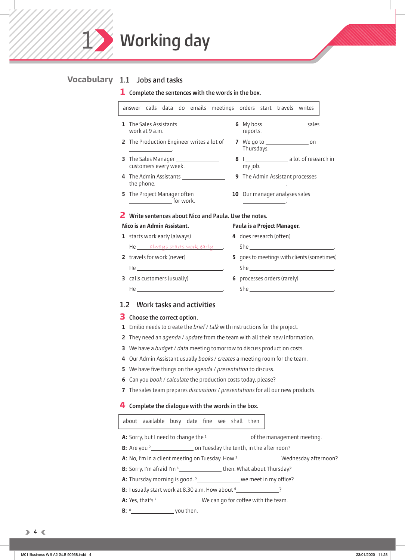

#### **1.1 Jobs and tasks Vocabulary**

 $\mathcal{I}$ 

#### **1 Complete the sentences with the words in the box.**

|            |                |                                    |                                         |                                                               |                         |                                                   | answer calls data do emails meetings orders start travels writes |                                                   |  |
|------------|----------------|------------------------------------|-----------------------------------------|---------------------------------------------------------------|-------------------------|---------------------------------------------------|------------------------------------------------------------------|---------------------------------------------------|--|
|            | work at 9 a.m. |                                    | 1 The Sales Assistants ________________ |                                                               | reports.                |                                                   |                                                                  |                                                   |  |
|            |                |                                    |                                         | 2 The Production Engineer writes a lot of                     | Thursdays.              |                                                   | 7 We go to _______________________ on                            |                                                   |  |
|            |                | customers every week.              | 3 The Sales Manager ________________    |                                                               | my job.                 |                                                   |                                                                  | 8   ________________________ a lot of research in |  |
| the phone. |                |                                    | 4 The Admin Assistants ________________ |                                                               |                         |                                                   | 9 The Admin Assistant processes                                  |                                                   |  |
|            |                | 5 The Project Manager often        |                                         |                                                               |                         | <u> 1989 - John Stone, amerikansk politiker (</u> | 10 Our manager analyses sales                                    |                                                   |  |
|            |                |                                    |                                         | <b>2</b> Write sentences about Nico and Paula. Use the notes. |                         |                                                   |                                                                  |                                                   |  |
|            |                | Nico is an Admin Assistant.        |                                         |                                                               |                         |                                                   | Paula is a Project Manager.                                      |                                                   |  |
|            |                | 1 starts work early (always)       |                                         |                                                               | 4 does research (often) |                                                   |                                                                  |                                                   |  |
|            |                |                                    | He always starts work early             |                                                               |                         |                                                   |                                                                  |                                                   |  |
|            |                | 2 travels for work (never)         |                                         |                                                               |                         |                                                   |                                                                  | 5 goes to meetings with clients (sometimes)       |  |
|            |                |                                    |                                         |                                                               |                         |                                                   |                                                                  |                                                   |  |
|            |                | <b>3</b> calls customers (usually) |                                         |                                                               |                         |                                                   | 6 processes orders (rarely)                                      |                                                   |  |
|            |                |                                    |                                         |                                                               |                         |                                                   |                                                                  |                                                   |  |
|            |                |                                    |                                         |                                                               |                         |                                                   |                                                                  |                                                   |  |

#### **1.2 Work tasks and activities**

#### **3 Choose the correct option.**

- **1** Emilio needs to create the brief / talk with instructions for the project.
- **2** They need an agenda / update from the team with all their new information.
- **3** We have a budget / data meeting tomorrow to discuss production costs.
- **4** Our Admin Assistant usually books / creates a meeting room for the team.
- **5** We have five things on the *agenda / presentation* to discuss.
- **6** Can you book / calculate the production costs today, please?
- **7** The sales team prepares discussions / presentations for all our new products.

#### **4 Complete the dialogue with the words in the box.**

|  | about available busy date fine see shall then |  |  |  |  |  |  |
|--|-----------------------------------------------|--|--|--|--|--|--|
|--|-----------------------------------------------|--|--|--|--|--|--|

- **A:** Sorry, but I need to change the 1 of the management meeting.
- **B:** Are you 2 on Tuesday the tenth, in the afternoon?
- **A:** No, I'm in a client meeting on Tuesday. How <sup>3</sup> Wednesday afternoon?
- **B:** Sorry, I'm afraid I'm <sup>4</sup> \_\_\_\_\_\_\_\_\_\_\_\_\_\_\_\_\_\_\_ then. What about Thursday?
- **A:** Thursday morning is good. <sup>5</sup> \_\_\_\_\_\_\_\_\_\_\_\_\_\_\_ we meet in my office?
- **B:** I usually start work at 8.30 a.m. How about 6 ?

**A:** Yes, that's <sup>7</sup> \_\_\_\_\_\_\_\_\_\_\_\_\_\_\_. We can go for coffee with the team.

**B:** 8 you then.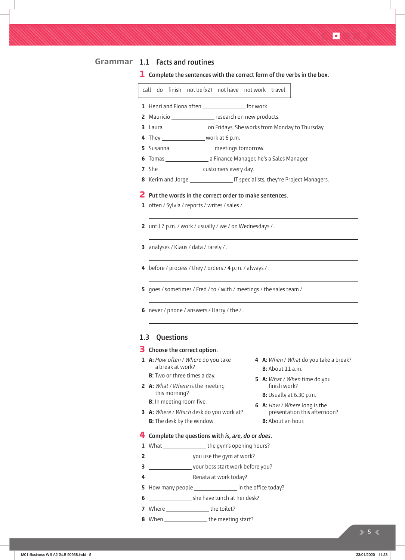#### **1.1 Facts and routines Grammar**

**1 Complete the sentences with the correct form of the verbs in the box.**

call do finish not be  $(x2)$  not have not work travel

- **1** Henri and Fiona often **For all Allen For Work.**
- **2** Mauricio **research on new products.**
- **3** Laura **constants Constants on Fridays.** She works from Monday to Thursday.
- **4** They work at 6 p.m.
- **5** Susanna \_\_\_\_\_\_\_\_\_\_\_\_\_\_\_\_\_\_ meetings tomorrow.
- **6** Tomas a Finance Manager, he's a Sales Manager.
- **7** She customers every day.
- **8** Kerim and Jorge **Inc. 19. IT** specialists, they're Project Managers.

#### **2 Put the words in the correct order to make sentences.**

- **1** often / Sylvia / reports / writes / sales / .
- **2** until 7 p.m. / work / usually / we / on Wednesdays / .
- **3** analyses / Klaus / data / rarely / .
- **4** before / process / they / orders / 4 p.m. / always / .
- **5** goes / sometimes / Fred / to / with / meetings / the sales team / .
- **6** never / phone / answers / Harry / the / .

#### **1.3 Questions**

#### **3 Choose the correct option.**

- **1 A:** How often / Where do you take a break at work?
	- **B:** Two or three times a day.
- **2 A:** What / Where is the meeting this morning?
	- **B:** In meeting room five.
- **3 A:** Where / Which desk do you work at? **B:** The desk by the window.
- **4 A:** When / What do you take a break? **B:** About 11 a.m.
	- **5 A:** What / When time do you finish work?
		- **B:** Usually at 6.30 p.m.
	- **6 A:** How / Where long is the presentation this afternoon?  **B:** About an hour.
- **4 Complete the questions with is, are, do or does.**
- **1** What \_\_\_\_\_\_\_\_\_\_\_\_\_\_the gym's opening hours?
- **2** you use the gym at work?
- **3** your boss start work before you?
- **4** Renata at work today?
- **5** How many people in the office today?
- **6** Superstanding the have lunch at her desk?
- **7** Where \_\_\_\_\_\_\_\_\_\_\_\_\_\_\_\_\_\_\_\_\_ the toilet?
- **8** When \_\_\_\_\_\_\_\_\_\_\_\_\_\_\_\_\_\_\_\_the meeting start?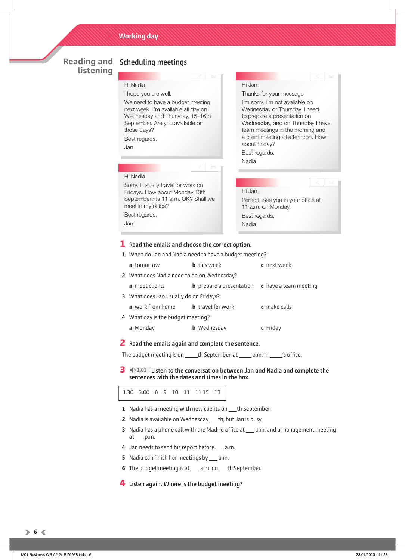## **listening**

#### **Reading and Scheduling meetings**

#### Hi Nadia,

I hope you are well.

We need to have a budget meeting next week. I'm available all day on Wednesday and Thursday, 15–16th September. Are you available on those days?

Sorry, I usually travel for work on Fridays. How about Monday 13th September? Is 11 a.m. OK? Shall we

Best regards,

Hi Nadia,

meet in my office? Best regards,

Jan

Jan

### Hi Jan, Perfect. See you in your office at 11 a.m. on Monday. Best regards, Nadia Hi Jan, Thanks for your message. I'm sorry, I'm not available on Wednesday or Thursday. I need to prepare a presentation on Wednesday, and on Thursday I have team meetings in the morning and a client meeting all afternoon. How about Friday? Best regards, Nadia

#### **1 Read the emails and choose the correct option.**

**1** When do Jan and Nadia need to have a budget meeting?  **a** tomorrow **b** this week **c** next week **2** What does Nadia need to do on Wednesday? **a** meet clients **b** prepare a presentation **c** have a team meeting **3** What does Jan usually do on Fridays?  **a** work from home **b** travel for work **c** make calls **4** What day is the budget meeting?  **a** Monday **b** Wednesday **c** Friday

#### **2 Read the emails again and complete the sentence.**

The budget meeting is on  $\rule{1em}{0.15mm}$  th September, at  $\rule{1em}{0.15mm}$  a.m. in  $\rule{1em}{0.15mm}$  's office.

**3 1.01** Listen to the conversation between Jan and Nadia and complete the **sentences with the dates and times in the box.**

1.30 3.00 8 9 10 11 11.15 13

- **1** Nadia has a meeting with new clients on the September.
- **2** Nadia is available on Wednesday th, but Jan is busy.
- **3** Nadia has a phone call with the Madrid office at <u>p</u>.m. and a management meeting  $at$  p.m.
- 4 Jan needs to send his report before  $a$ .m.
- **5** Nadia can finish her meetings by \_\_\_ a.m.
- **6** The budget meeting is at \_\_\_ a.m. on \_\_\_ th September.

#### **4 Listen again. Where is the budget meeting?**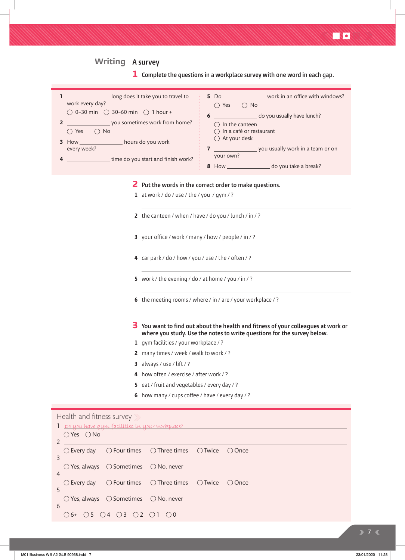#### **A survey Writing**

 $\bigcirc$  6+  $\bigcirc$  5  $\bigcirc$  4  $\bigcirc$  3  $\bigcirc$  2  $\bigcirc$  1  $\bigcirc$  0

**1 Complete the questions in a workplace survey with one word in each gap.**

| long does it take you to travel to<br>1<br>work every day?<br>$\bigcirc$ 0-30 min $\bigcirc$ 30-60 min $\bigcirc$ 1 hour +<br>you sometimes work from home?<br>$\overline{2}$<br>$\bigcirc$ Yes $\bigcirc$ No<br>3 How __________________ hours do you work<br>every week?<br>time do you start and finish work?<br>4 | 5 Do ______________________ work in an office with windows?<br>$\bigcirc$ Yes $\bigcirc$ No<br>do you usually have lunch?<br>6<br>$\bigcirc$ In the canteen<br>$\bigcap$ In a café or restaurant<br>$\bigcirc$ At your desk<br>your own?<br>8 How ______________________ do you take a break? |  |  |  |  |
|-----------------------------------------------------------------------------------------------------------------------------------------------------------------------------------------------------------------------------------------------------------------------------------------------------------------------|-----------------------------------------------------------------------------------------------------------------------------------------------------------------------------------------------------------------------------------------------------------------------------------------------|--|--|--|--|
| 1 at work / do / use / the / you / gym / ?                                                                                                                                                                                                                                                                            | 2 Put the words in the correct order to make questions.                                                                                                                                                                                                                                       |  |  |  |  |
| 2 the canteen / when / have / do you / lunch / in / ?                                                                                                                                                                                                                                                                 |                                                                                                                                                                                                                                                                                               |  |  |  |  |
| 3 your office / work / many / how / people / in / ?                                                                                                                                                                                                                                                                   |                                                                                                                                                                                                                                                                                               |  |  |  |  |
| 4 car park / do / how / you / use / the / often / ?                                                                                                                                                                                                                                                                   |                                                                                                                                                                                                                                                                                               |  |  |  |  |
| 5 work / the evening / do / at home / you / in / ?                                                                                                                                                                                                                                                                    |                                                                                                                                                                                                                                                                                               |  |  |  |  |
| 6 the meeting rooms / where / in / are / your workplace / ?                                                                                                                                                                                                                                                           |                                                                                                                                                                                                                                                                                               |  |  |  |  |
|                                                                                                                                                                                                                                                                                                                       | You want to find out about the health and fitness of your colleagues at work or<br>where you study. Use the notes to write questions for the survey below.                                                                                                                                    |  |  |  |  |
| 1 gym facilities / your workplace / ?                                                                                                                                                                                                                                                                                 |                                                                                                                                                                                                                                                                                               |  |  |  |  |
| 2 many times / week / walk to work / ?                                                                                                                                                                                                                                                                                |                                                                                                                                                                                                                                                                                               |  |  |  |  |
| 3 always / use / $lift$ / ?                                                                                                                                                                                                                                                                                           |                                                                                                                                                                                                                                                                                               |  |  |  |  |
| 4 how often / exercise / after work / ?                                                                                                                                                                                                                                                                               |                                                                                                                                                                                                                                                                                               |  |  |  |  |
| eat / fruit and vegetables / every day / ?<br>5.                                                                                                                                                                                                                                                                      |                                                                                                                                                                                                                                                                                               |  |  |  |  |
| 6 how many / cups coffee / have / every day / ?                                                                                                                                                                                                                                                                       |                                                                                                                                                                                                                                                                                               |  |  |  |  |
| Health and fitness survey<br>Do you have gym facilities in your workplace?                                                                                                                                                                                                                                            |                                                                                                                                                                                                                                                                                               |  |  |  |  |
| $\bigcirc$ Yes $\bigcirc$ No<br>2                                                                                                                                                                                                                                                                                     |                                                                                                                                                                                                                                                                                               |  |  |  |  |
| $\bigcirc$ Every day<br>$\bigcirc$ Four times<br>$\bigcirc$ Three times<br>3                                                                                                                                                                                                                                          | ○ Once<br>$\bigcirc$ Twice                                                                                                                                                                                                                                                                    |  |  |  |  |
| ○ Sometimes<br>$\bigcirc$ Yes, always<br>$\bigcirc$ No, never<br>4                                                                                                                                                                                                                                                    |                                                                                                                                                                                                                                                                                               |  |  |  |  |
| $\bigcirc$ Four times<br>$\bigcirc$ Three times<br>$\bigcirc$ Every day<br>5                                                                                                                                                                                                                                          | $\bigcirc$ Twice<br>○ Once                                                                                                                                                                                                                                                                    |  |  |  |  |
| $\bigcirc$ Sometimes<br>$\bigcirc$ Yes, always<br>$\bigcirc$ No, never<br>6                                                                                                                                                                                                                                           |                                                                                                                                                                                                                                                                                               |  |  |  |  |